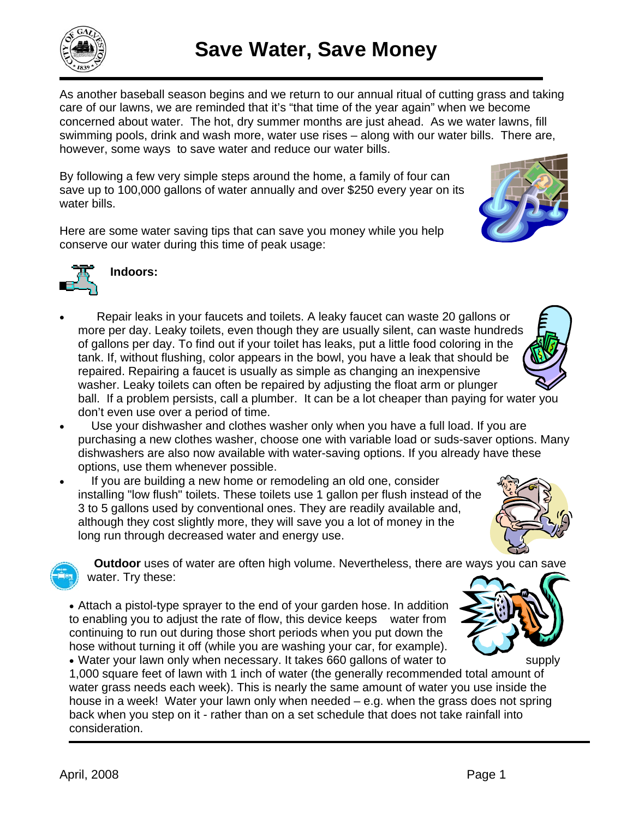As another baseball season begins and we return to our annual ritual of cutting grass and taking care of our lawns, we are reminded that it's "that time of the year again" when we become concerned about water. The hot, dry summer months are just ahead. As we water lawns, fill swimming pools, drink and wash more, water use rises – along with our water bills. There are, however, some ways to save water and reduce our water bills.

By following a few very simple steps around the home, a family of four can save up to 100,000 gallons of water annually and over \$250 every year on its water bills.

Here are some water saving tips that can save you money while you help conserve our water during this time of peak usage:



- Use your dishwasher and clothes washer only when you have a full load. If you are purchasing a new clothes washer, choose one with variable load or suds-saver options. Many dishwashers are also now available with water-saving options. If you already have these options, use them whenever possible.
- If you are building a new home or remodeling an old one, consider installing "low flush" toilets. These toilets use 1 gallon per flush instead of the 3 to 5 gallons used by conventional ones. They are readily available and, although they cost slightly more, they will save you a lot of money in the long run through decreased water and energy use.

 **Outdoor** uses of water are often high volume. Nevertheless, there are ways you can save water. Try these:

• Attach a pistol-type sprayer to the end of your garden hose. In addition to enabling you to adjust the rate of flow, this device keeps water from continuing to run out during those short periods when you put down the hose without turning it off (while you are washing your car, for example). • Water your lawn only when necessary. It takes 660 gallons of water to supply

1,000 square feet of lawn with 1 inch of water (the generally recommended total amount of water grass needs each week). This is nearly the same amount of water you use inside the house in a week! Water your lawn only when needed – e.g. when the grass does not spring back when you step on it - rather than on a set schedule that does not take rainfall into consideration.







**Indoors:**